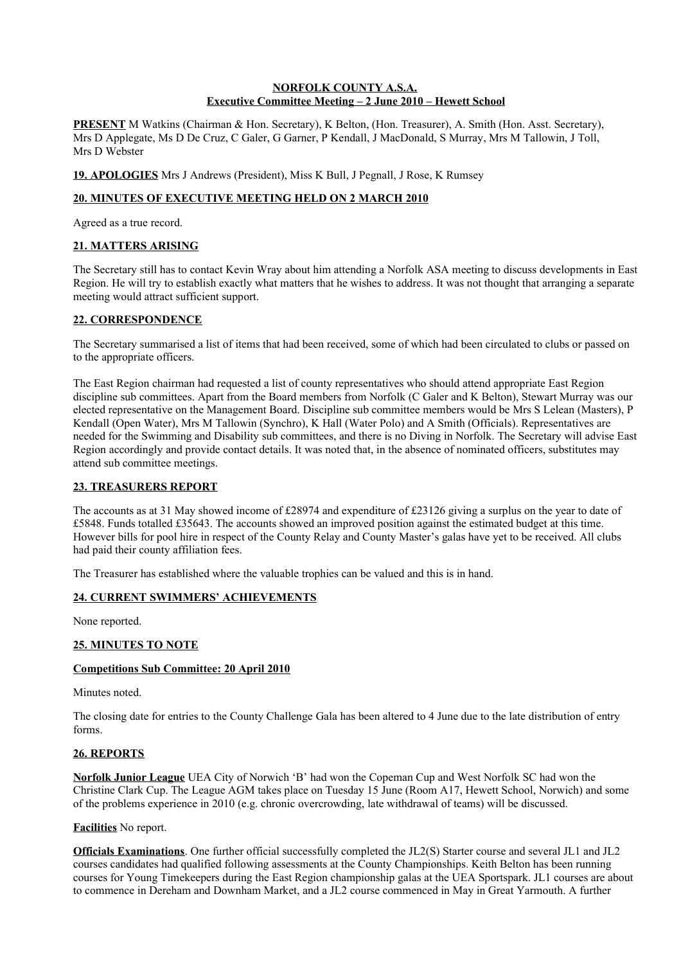### **NORFOLK COUNTY A.S.A. Executive Committee Meeting – 2 June 2010 – Hewett School**

**PRESENT** M Watkins (Chairman & Hon. Secretary), K Belton, (Hon. Treasurer), A. Smith (Hon. Asst. Secretary), Mrs D Applegate, Ms D De Cruz, C Galer, G Garner, P Kendall, J MacDonald, S Murray, Mrs M Tallowin, J Toll, Mrs D Webster

**19. APOLOGIES** Mrs J Andrews (President), Miss K Bull, J Pegnall, J Rose, K Rumsey

# **20. MINUTES OF EXECUTIVE MEETING HELD ON 2 MARCH 2010**

Agreed as a true record.

## **21. MATTERS ARISING**

The Secretary still has to contact Kevin Wray about him attending a Norfolk ASA meeting to discuss developments in East Region. He will try to establish exactly what matters that he wishes to address. It was not thought that arranging a separate meeting would attract sufficient support.

## **22. CORRESPONDENCE**

The Secretary summarised a list of items that had been received, some of which had been circulated to clubs or passed on to the appropriate officers.

The East Region chairman had requested a list of county representatives who should attend appropriate East Region discipline sub committees. Apart from the Board members from Norfolk (C Galer and K Belton), Stewart Murray was our elected representative on the Management Board. Discipline sub committee members would be Mrs S Lelean (Masters), P Kendall (Open Water), Mrs M Tallowin (Synchro), K Hall (Water Polo) and A Smith (Officials). Representatives are needed for the Swimming and Disability sub committees, and there is no Diving in Norfolk. The Secretary will advise East Region accordingly and provide contact details. It was noted that, in the absence of nominated officers, substitutes may attend sub committee meetings.

# **23. TREASURERS REPORT**

The accounts as at 31 May showed income of £28974 and expenditure of £23126 giving a surplus on the year to date of £5848. Funds totalled £35643. The accounts showed an improved position against the estimated budget at this time. However bills for pool hire in respect of the County Relay and County Master's galas have yet to be received. All clubs had paid their county affiliation fees.

The Treasurer has established where the valuable trophies can be valued and this is in hand.

#### **24. CURRENT SWIMMERS' ACHIEVEMENTS**

None reported.

#### **25. MINUTES TO NOTE**

### **Competitions Sub Committee: 20 April 2010**

Minutes noted.

The closing date for entries to the County Challenge Gala has been altered to 4 June due to the late distribution of entry forms.

### **26. REPORTS**

**Norfolk Junior League** UEA City of Norwich 'B' had won the Copeman Cup and West Norfolk SC had won the Christine Clark Cup. The League AGM takes place on Tuesday 15 June (Room A17, Hewett School, Norwich) and some of the problems experience in 2010 (e.g. chronic overcrowding, late withdrawal of teams) will be discussed.

### **Facilities** No report.

**Officials Examinations**. One further official successfully completed the JL2(S) Starter course and several JL1 and JL2 courses candidates had qualified following assessments at the County Championships. Keith Belton has been running courses for Young Timekeepers during the East Region championship galas at the UEA Sportspark. JL1 courses are about to commence in Dereham and Downham Market, and a JL2 course commenced in May in Great Yarmouth. A further